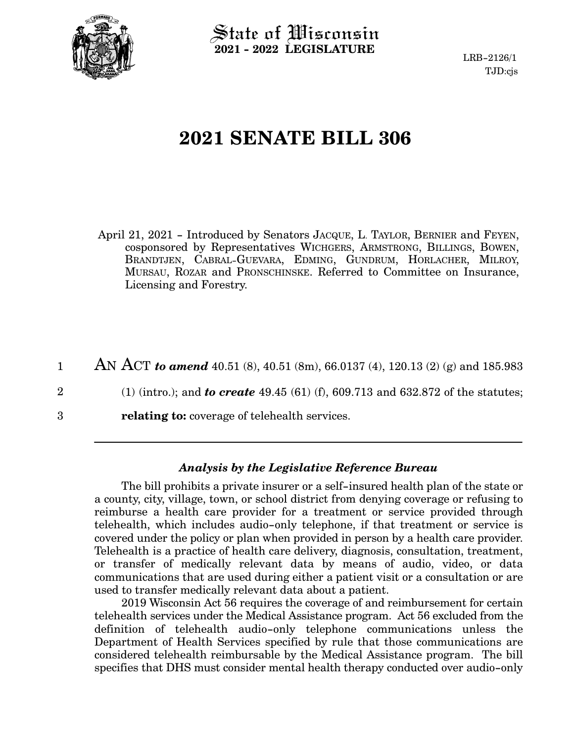

State of Wisconsin **2021 - 2022 LEGISLATURE**

LRB-2126/1 TJD:cjs

# **2021 SENATE BILL 306**

April 21, 2021 - Introduced by Senators JACQUE, L. TAYLOR, BERNIER and FEYEN, cosponsored by Representatives WICHGERS, ARMSTRONG, BILLINGS, BOWEN, BRANDTJEN, CABRAL-GUEVARA, EDMING, GUNDRUM, HORLACHER, MILROY, MURSAU, ROZAR and PRONSCHINSKE. Referred to Committee on Insurance, Licensing and Forestry.

AN ACT *to amend* 40.51 (8), 40.51 (8m), 66.0137 (4), 120.13 (2) (g) and 185.983 1

- (1) (intro.); and *to create* 49.45 (61) (f), 609.713 and 632.872 of the statutes; 2
- **relating to:** coverage of telehealth services. 3

#### *Analysis by the Legislative Reference Bureau*

The bill prohibits a private insurer or a self-insured health plan of the state or a county, city, village, town, or school district from denying coverage or refusing to reimburse a health care provider for a treatment or service provided through telehealth, which includes audio-only telephone, if that treatment or service is covered under the policy or plan when provided in person by a health care provider. Telehealth is a practice of health care delivery, diagnosis, consultation, treatment, or transfer of medically relevant data by means of audio, video, or data communications that are used during either a patient visit or a consultation or are used to transfer medically relevant data about a patient.

2019 Wisconsin Act 56 requires the coverage of and reimbursement for certain telehealth services under the Medical Assistance program. Act 56 excluded from the definition of telehealth audio-only telephone communications unless the Department of Health Services specified by rule that those communications are considered telehealth reimbursable by the Medical Assistance program. The bill specifies that DHS must consider mental health therapy conducted over audio-only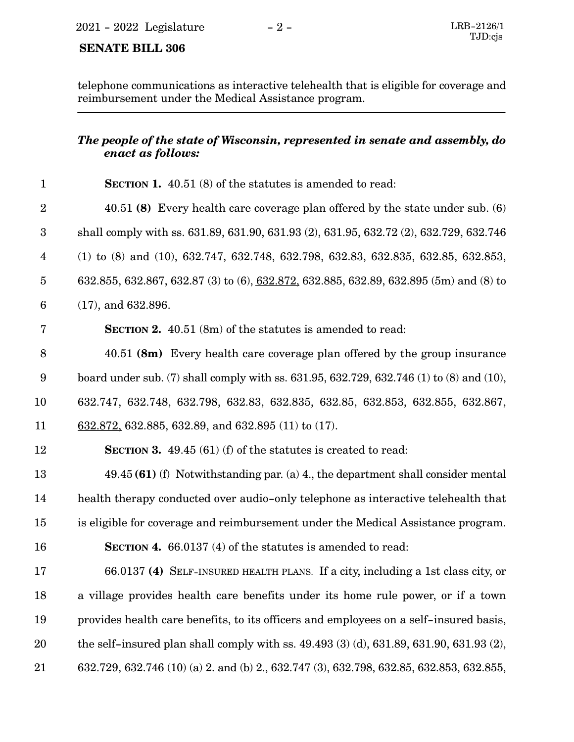## **SENATE BILL 306**

telephone communications as interactive telehealth that is eligible for coverage and reimbursement under the Medical Assistance program.

#### *The people of the state of Wisconsin, represented in senate and assembly, do enact as follows:*

| $\mathbf{1}$            | <b>SECTION 1.</b> 40.51 (8) of the statutes is amended to read:                                               |
|-------------------------|---------------------------------------------------------------------------------------------------------------|
| $\overline{2}$          | 40.51 (8) Every health care coverage plan offered by the state under sub. (6)                                 |
| $\boldsymbol{3}$        | shall comply with ss. 631.89, 631.90, 631.93 (2), 631.95, 632.72 (2), 632.729, 632.746                        |
| $\overline{\mathbf{4}}$ | $(1)$ to $(8)$ and $(10)$ , $632.747$ , $632.748$ , $632.798$ , $632.83$ , $632.835$ , $632.85$ , $632.853$ , |
| $\overline{5}$          | 632.855, 632.867, 632.87 (3) to (6), 632.872, 632.885, 632.89, 632.895 (5m) and (8) to                        |
| 6                       | $(17)$ , and 632.896.                                                                                         |
| 7                       | <b>SECTION 2.</b> 40.51 (8m) of the statutes is amended to read:                                              |
| 8                       | 40.51 (8m) Every health care coverage plan offered by the group insurance                                     |
| 9                       | board under sub. (7) shall comply with ss. 631.95, 632.729, 632.746 (1) to (8) and (10),                      |
| 10                      | 632.747, 632.748, 632.798, 632.83, 632.835, 632.85, 632.853, 632.855, 632.867,                                |
| 11                      | $632.872$ , 632.885, 632.89, and 632.895 (11) to (17).                                                        |
| 12                      | <b>SECTION 3.</b> 49.45 (61) (f) of the statutes is created to read:                                          |
| 13                      | $49.45(61)$ (f) Notwithstanding par. (a) 4., the department shall consider mental                             |
| 14                      | health therapy conducted over audio-only telephone as interactive telehealth that                             |
| 15                      | is eligible for coverage and reimbursement under the Medical Assistance program.                              |
| 16                      | <b>SECTION 4.</b> 66.0137 (4) of the statutes is amended to read:                                             |
| 17                      | 66.0137 (4) SELF-INSURED HEALTH PLANS. If a city, including a 1st class city, or                              |
| 18                      | a village provides health care benefits under its home rule power, or if a town                               |
| 19                      | provides health care benefits, to its officers and employees on a self-insured basis,                         |
| $20\,$                  | the self-insured plan shall comply with ss. 49.493 (3) (d), 631.89, 631.90, 631.93 (2),                       |
| 21                      | 632.729, 632.746 (10) (a) 2. and (b) 2., 632.747 (3), 632.798, 632.85, 632.853, 632.855,                      |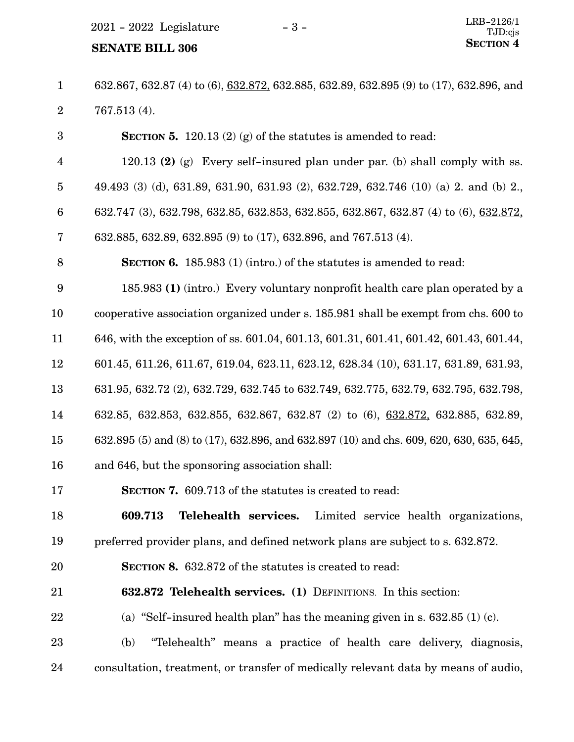$2021 - 2022$  Legislature  $-3 -$ 

# **SENATE BILL 306** SECTION 4

632.867, 632.87 (4) to (6), 632.872, 632.885, 632.89, 632.895 (9) to (17), 632.896, and 767.513 (4). 1 2

**SECTION 5.** 120.13 (2) (g) of the statutes is amended to read: 120.13 **(2)** (g) Every self-insured plan under par. (b) shall comply with ss. 49.493 (3) (d), 631.89, 631.90, 631.93 (2), 632.729, 632.746 (10) (a) 2. and (b) 2., 632.747 (3), 632.798, 632.85, 632.853, 632.855, 632.867, 632.87 (4) to (6), 632.872, 632.885, 632.89, 632.895 (9) to (17), 632.896, and 767.513 (4). **SECTION 6.** 185.983 (1) (intro.) of the statutes is amended to read: 185.983 **(1)** (intro.) Every voluntary nonprofit health care plan operated by a cooperative association organized under s. 185.981 shall be exempt from chs. 600 to 646, with the exception of ss. 601.04, 601.13, 601.31, 601.41, 601.42, 601.43, 601.44, 601.45, 611.26, 611.67, 619.04, 623.11, 623.12, 628.34 (10), 631.17, 631.89, 631.93, 631.95, 632.72 (2), 632.729, 632.745 to 632.749, 632.775, 632.79, 632.795, 632.798, 632.85, 632.853, 632.855, 632.867, 632.87 (2) to (6), 632.872, 632.885, 632.89, 632.895 (5) and (8) to (17), 632.896, and 632.897 (10) and chs. 609, 620, 630, 635, 645, and 646, but the sponsoring association shall: **SECTION 7.** 609.713 of the statutes is created to read: **609.713 Telehealth services.** Limited service health organizations, preferred provider plans, and defined network plans are subject to s. 632.872. **SECTION 8.** 632.872 of the statutes is created to read: **632.872 Telehealth services. (1)** DEFINITIONS. In this section: (a) "Self-insured health plan" has the meaning given in s.  $632.85$  (1) (c). (b) "Telehealth" means a practice of health care delivery, diagnosis, consultation, treatment, or transfer of medically relevant data by means of audio, 3 4 5 6 7 8 9 10 11 12 13 14 15 16 17 18 19 20 21 22 23 24